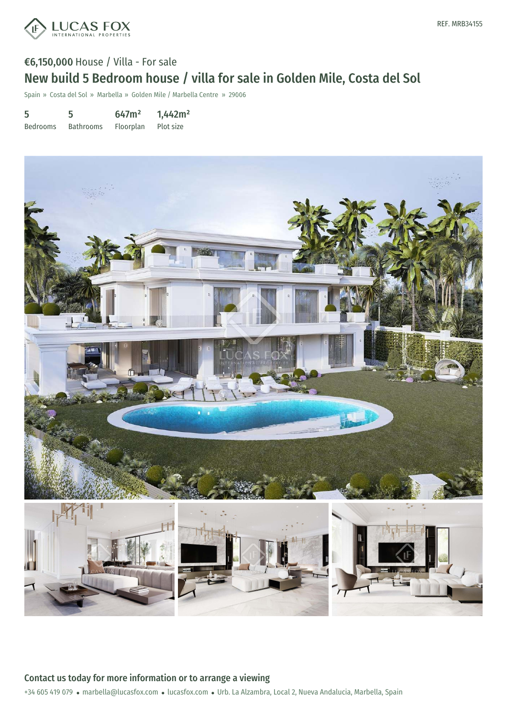

# €6,150,000 House / Villa - For sale New build 5 Bedroom house / villa for sale in Golden Mile, Costa del Sol

Spain » Costa del Sol » Marbella » Golden Mile / Marbella Centre » 29006

| 5               | 5                | 647m <sup>2</sup> | 1,442m <sup>2</sup> |
|-----------------|------------------|-------------------|---------------------|
| <b>Bedrooms</b> | <b>Bathrooms</b> | Floorplan         | Plot size           |



Contact us today for more information or to arrange a viewing

+34 605 419 079 · marbella@lucasfox.com · lucasfox.com · Urb. La Alzambra, Local 2, Nueva Andalucia, Marbella, Spain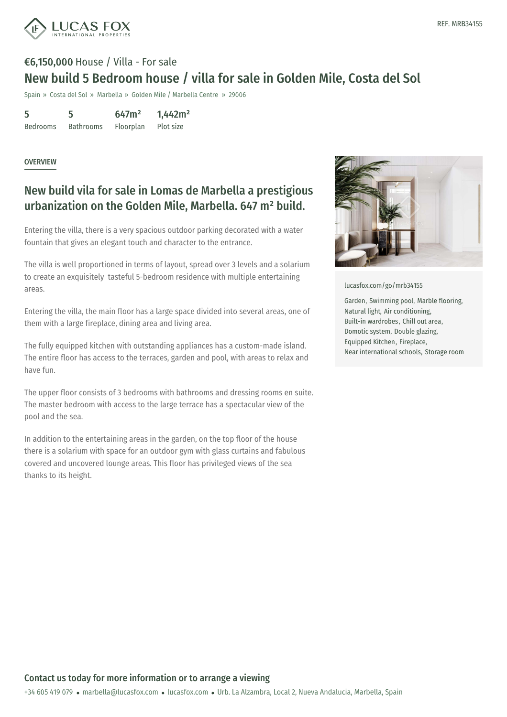

# €6,150,000 House / Villa - For sale New build 5 Bedroom house / villa for sale in Golden Mile, Costa del Sol

Spain » Costa del Sol » Marbella » Golden Mile / Marbella Centre » 29006

| 5               | 5                | 647m <sup>2</sup> | 1,442m <sup>2</sup> |
|-----------------|------------------|-------------------|---------------------|
| <b>Bedrooms</b> | <b>Bathrooms</b> | Floorplan         | Plot size           |

#### **OVERVIEW**

## New build vila for sale in Lomas de Marbella a prestigious urbanization on the Golden Mile, Marbella. 647 m² build.

Entering the villa, there is a very spacious outdoor parking decorated with a water fountain that gives an elegant touch and character to the entrance.

The villa is well proportioned in terms of layout, spread over 3 levels and a solarium to create an exquisitely tasteful 5-bedroom residence with multiple entertaining areas.

Entering the villa, the main floor has a large space divided into several areas, one of them with a large fireplace, dining area and living area.

The fully equipped kitchen with outstanding appliances has a custom-made island. The entire floor has access to the terraces, garden and pool, with areas to relax and have fun.

The upper floor consists of 3 bedrooms with bathrooms and dressing rooms en suite. The master bedroom with access to the large terrace has a spectacular view of the pool and the sea.

In addition to the entertaining areas in the garden, on the top floor of the house there is a solarium with space for an outdoor gym with glass curtains and fabulous covered and uncovered lounge areas. This floor has privileged views of the sea thanks to its height.



[lucasfox.com/go/mrb34155](https://www.lucasfox.com/go/mrb34155)

Garden, Swimming pool, Marble flooring, Natural light, Air conditioning, Built-in wardrobes, Chill out area, Domotic system, Double glazing, Equipped Kitchen, Fireplace, Near international schools, Storage room